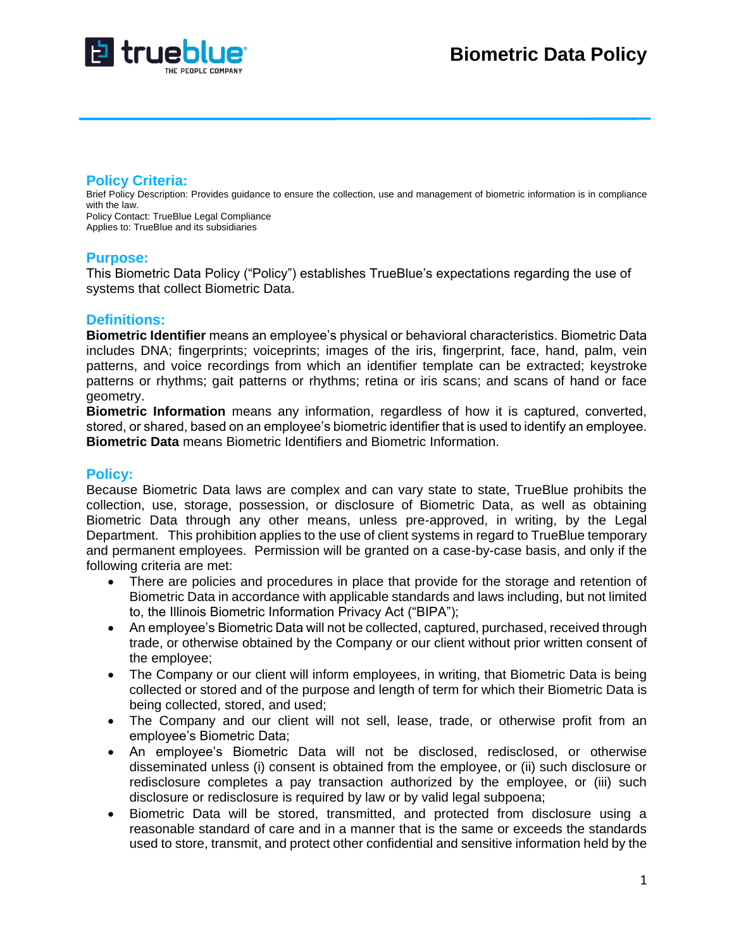

### **Policy Criteria:**

Brief Policy Description: Provides guidance to ensure the collection, use and management of biometric information is in compliance with the law. Policy Contact: TrueBlue Legal Compliance Applies to: TrueBlue and its subsidiaries

### **Purpose:**

This Biometric Data Policy ("Policy") establishes TrueBlue's expectations regarding the use of systems that collect Biometric Data.

# **Definitions:**

**Biometric Identifier** means an employee's physical or behavioral characteristics. Biometric Data includes DNA; fingerprints; voiceprints; images of the iris, fingerprint, face, hand, palm, vein patterns, and voice recordings from which an identifier template can be extracted; keystroke patterns or rhythms; gait patterns or rhythms; retina or iris scans; and scans of hand or face geometry.

**Biometric Information** means any information, regardless of how it is captured, converted, stored, or shared, based on an employee's biometric identifier that is used to identify an employee. **Biometric Data** means Biometric Identifiers and Biometric Information.

# **Policy:**

Because Biometric Data laws are complex and can vary state to state, TrueBlue prohibits the collection, use, storage, possession, or disclosure of Biometric Data, as well as obtaining Biometric Data through any other means, unless pre-approved, in writing, by the Legal Department. This prohibition applies to the use of client systems in regard to TrueBlue temporary and permanent employees. Permission will be granted on a case-by-case basis, and only if the following criteria are met:

- There are policies and procedures in place that provide for the storage and retention of Biometric Data in accordance with applicable standards and laws including, but not limited to, the Illinois Biometric Information Privacy Act ("BIPA");
- An employee's Biometric Data will not be collected, captured, purchased, received through trade, or otherwise obtained by the Company or our client without prior written consent of the employee;
- The Company or our client will inform employees, in writing, that Biometric Data is being collected or stored and of the purpose and length of term for which their Biometric Data is being collected, stored, and used;
- The Company and our client will not sell, lease, trade, or otherwise profit from an employee's Biometric Data;
- An employee's Biometric Data will not be disclosed, redisclosed, or otherwise disseminated unless (i) consent is obtained from the employee, or (ii) such disclosure or redisclosure completes a pay transaction authorized by the employee, or (iii) such disclosure or redisclosure is required by law or by valid legal subpoena;
- Biometric Data will be stored, transmitted, and protected from disclosure using a reasonable standard of care and in a manner that is the same or exceeds the standards used to store, transmit, and protect other confidential and sensitive information held by the